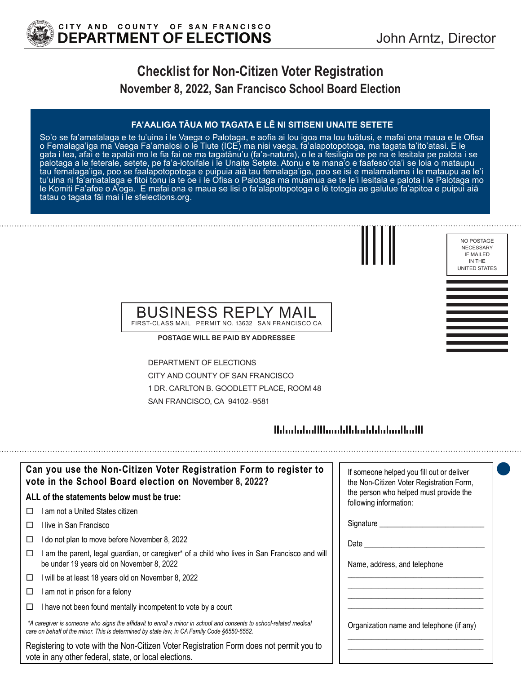

# **Checklist for Non-Citizen Voter Registration November 8, 2022, San Francisco School Board Election**

#### **FA'AALIGA TĀUA MO TAGATA E LĒ NI SITISENI UNAITE SETETE**

So'o se fa'amatalaga e te tu'uina i le Vaega o Palotaga, e aofia ai lou igoa ma lou tuātusi, e mafai ona maua e le Ofisa o Femalaga'iga ma Vaega Fa'amalosi o le Tiute (ICE) ma nisi vaega, fa'alapotopotoga, ma tagata ta'ito'atasi. E le gata i lea, afai e te apalai mo le fia fai oe ma tagatānu'u (fa'a-natura), o le a fesiligia oe pe na e lesitala pe palota i se palotaga a le feterale, setete, pe fa'a-lotoifale i le Unaite Setete. Atonu e te mana'o e faafeso'ota'i se loia o mataupu tau femalaga'iga, poo se faalapotopotoga e puipuia aiā tau femalaga'iga, poo se isi e malamalama i le mataupu ae le'i tu'uina ni fa'amatalaga e fitoi tonu ia te oe i le Ofisa o Palotaga ma muamua ae te le'i lesitala e palota i le Palotaga mo le Komiti Fa'afoe o A'oga. E mafai ona e maua se lisi o fa'alapotopotoga e lē totogia ae galulue fa'apitoa e puipui aiā tatau o tagata fāi mai i le sfelections.org.



NO POSTAGE NECESSARY IF MAILED IN THE UNITED STATES

#### BUSINESS REPLY MAIL FIRST-CLASS MAIL PERMIT NO. 13632 SAN FRANCISCO CA

**POSTAGE WILL BE PAID BY ADDRESSEE**

DEPARTMENT OF ELECTIONS CITY AND COUNTY OF SAN FRANCISCO 1 DR. CARLTON B. GOODLETT PLACE, ROOM 48 SAN FRANCISCO, CA 94102–9581

### 

| Can you use the Non-Citizen Voter Registration Form to register to<br>vote in the School Board election on November 8, 2022?                                                                                      | If someone helped you fill out or deliver<br>the Non-Citizen Voter Registration Form, |
|-------------------------------------------------------------------------------------------------------------------------------------------------------------------------------------------------------------------|---------------------------------------------------------------------------------------|
| ALL of the statements below must be true:                                                                                                                                                                         | the person who helped must provide the<br>following information:                      |
| I am not a United States citizen                                                                                                                                                                                  |                                                                                       |
| l live in San Francisco                                                                                                                                                                                           | Signature __________                                                                  |
| I do not plan to move before November 8, 2022<br>□                                                                                                                                                                | Date                                                                                  |
| am the parent, legal guardian, or caregiver* of a child who lives in San Francisco and will<br>be under 19 years old on November 8, 2022                                                                          | Name, address, and telephone                                                          |
| I will be at least 18 years old on November 8, 2022<br>□                                                                                                                                                          |                                                                                       |
| I am not in prison for a felony<br>□                                                                                                                                                                              |                                                                                       |
| I have not been found mentally incompetent to vote by a court                                                                                                                                                     |                                                                                       |
| *A caregiver is someone who signs the affidavit to enroll a minor in school and consents to school-related medical<br>care on behalf of the minor. This is determined by state law, in CA Family Code §6550-6552. | Organization name and telephone (if any)                                              |
| Registering to vote with the Non-Citizen Voter Registration Form does not permit you to<br>vote in any other federal, state, or local elections.                                                                  |                                                                                       |